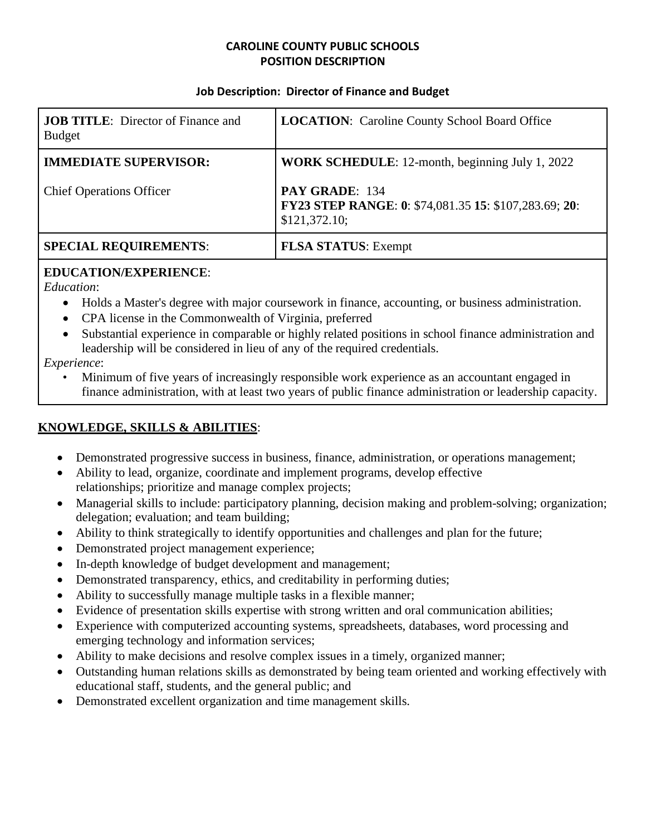## **CAROLINE COUNTY PUBLIC SCHOOLS POSITION DESCRIPTION**

#### **Job Description: Director of Finance and Budget**

| <b>JOB TITLE:</b> Director of Finance and<br><b>Budget</b> | <b>LOCATION:</b> Caroline County School Board Office                                     |
|------------------------------------------------------------|------------------------------------------------------------------------------------------|
| <b>IMMEDIATE SUPERVISOR:</b>                               | WORK SCHEDULE: 12-month, beginning July 1, 2022                                          |
| <b>Chief Operations Officer</b>                            | PAY GRADE: 134<br>FY23 STEP RANGE: 0: \$74,081.35 15: \$107,283.69; 20:<br>\$121,372.10; |
| <b>SPECIAL REQUIREMENTS:</b>                               | <b>FLSA STATUS: Exempt</b>                                                               |

### **EDUCATION/EXPERIENCE**:

*Education*:

- Holds a Master's degree with major coursework in finance, accounting, or business administration.
- CPA license in the Commonwealth of Virginia, preferred
- Substantial experience in comparable or highly related positions in school finance administration and leadership will be considered in lieu of any of the required credentials.

*Experience*:

• Minimum of five years of increasingly responsible work experience as an accountant engaged in finance administration, with at least two years of public finance administration or leadership capacity.

## **KNOWLEDGE, SKILLS & ABILITIES**:

- Demonstrated progressive success in business, finance, administration, or operations management;
- Ability to lead, organize, coordinate and implement programs, develop effective relationships; prioritize and manage complex projects;
- Managerial skills to include: participatory planning, decision making and problem-solving; organization; delegation; evaluation; and team building;
- Ability to think strategically to identify opportunities and challenges and plan for the future;
- Demonstrated project management experience;
- In-depth knowledge of budget development and management;
- Demonstrated transparency, ethics, and creditability in performing duties;
- Ability to successfully manage multiple tasks in a flexible manner;
- Evidence of presentation skills expertise with strong written and oral communication abilities;
- Experience with computerized accounting systems, spreadsheets, databases, word processing and emerging technology and information services;
- Ability to make decisions and resolve complex issues in a timely, organized manner;
- Outstanding human relations skills as demonstrated by being team oriented and working effectively with educational staff, students, and the general public; and
- Demonstrated excellent organization and time management skills.